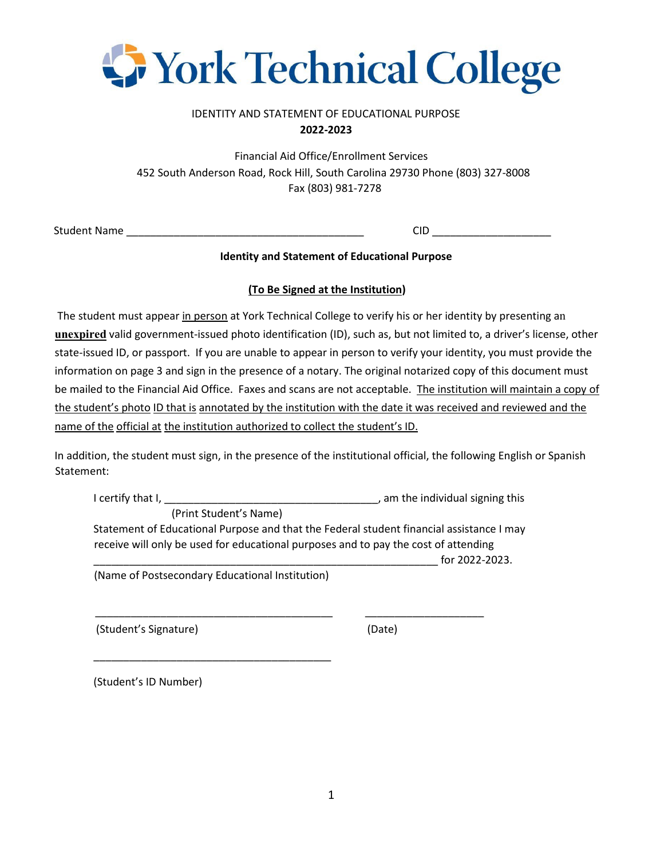

# IDENTITY AND STATEMENT OF EDUCATIONAL PURPOSE **2022-2023**

Financial Aid Office/Enrollment Services 452 South Anderson Road, Rock Hill, South Carolina 29730 Phone (803) 327-8008 Fax (803) 981-7278

Student Name \_\_\_\_\_\_\_\_\_\_\_\_\_\_\_\_\_\_\_\_\_\_\_\_\_\_\_\_\_\_\_\_\_\_\_\_\_\_\_\_ CID \_\_\_\_\_\_\_\_\_\_\_\_\_\_\_\_\_\_\_\_

### **Identity and Statement of Educational Purpose**

## **(To Be Signed at the Institution)**

The student must appear in person at York Technical College to verify his or her identity by presenting an **unexpired** valid government-issued photo identification (ID), such as, but not limited to, a driver's license, other state-issued ID, or passport. If you are unable to appear in person to verify your identity, you must provide the information on page 3 and sign in the presence of a notary. The original notarized copy of this document must be mailed to the Financial Aid Office. Faxes and scans are not acceptable. The institution will maintain a copy of the student's photo ID that is annotated by the institution with the date it was received and reviewed and the name of the official at the institution authorized to collect the student's ID.

In addition, the student must sign, in the presence of the institutional official, the following English or Spanish Statement:

I certify that I, \_\_\_\_\_\_\_\_\_\_\_\_\_\_\_\_\_\_\_\_\_\_\_\_\_\_\_\_\_\_\_\_\_\_\_\_, am the individual signing this (Print Student's Name) Statement of Educational Purpose and that the Federal student financial assistance I may receive will only be used for educational purposes and to pay the cost of attending  $\frac{1}{2}$  for 2022-2023. (Name of Postsecondary Educational Institution)

 \_\_\_\_\_\_\_\_\_\_\_\_\_\_\_\_\_\_\_\_\_\_\_\_\_\_\_\_\_\_\_\_\_\_\_\_\_\_\_\_ \_\_\_\_\_\_\_\_\_\_\_\_\_\_\_\_\_\_\_\_ (Student's Signature) (Date)

\_\_\_\_\_\_\_\_\_\_\_\_\_\_\_\_\_\_\_\_\_\_\_\_\_\_\_\_\_\_\_\_\_\_\_\_\_\_\_\_

(Student's ID Number)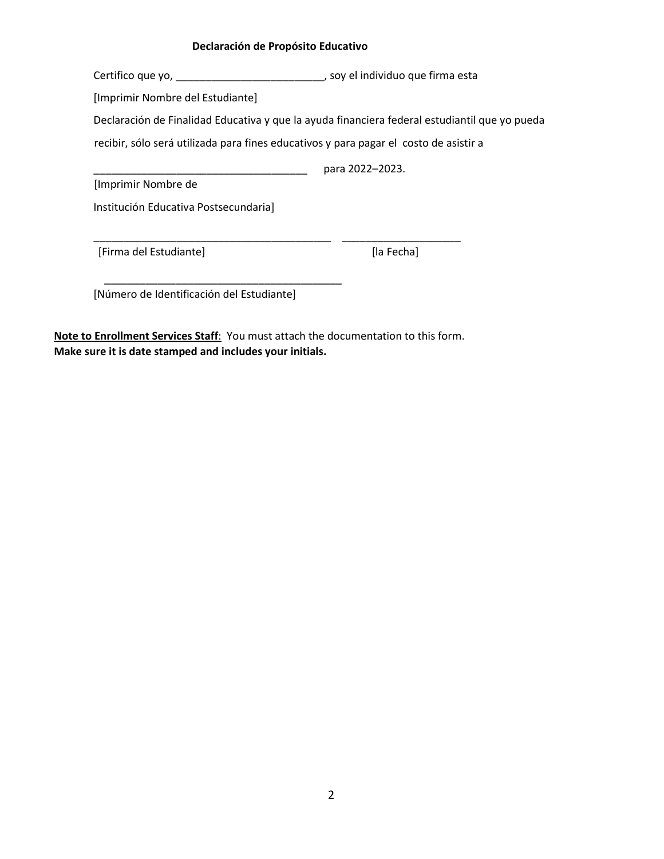#### **Declaración de Propósito Educativo**

Certifico que yo, \_\_\_\_\_\_\_\_\_\_\_\_\_\_\_\_\_\_\_\_\_\_\_\_\_, soy el individuo que firma esta

[Imprimir Nombre del Estudiante]

Declaración de Finalidad Educativa y que la ayuda financiera federal estudiantil que yo pueda

recibir, sólo será utilizada para fines educativos y para pagar el costo de asistir a

\_\_\_\_\_\_\_\_\_\_\_\_\_\_\_\_\_\_\_\_\_\_\_\_\_\_\_\_\_\_\_\_\_\_\_\_\_\_\_\_ \_\_\_\_\_\_\_\_\_\_\_\_\_\_\_\_\_\_\_\_

\_\_\_\_\_\_\_\_\_\_\_\_\_\_\_\_\_\_\_\_\_\_\_\_\_\_\_\_\_\_\_\_\_\_\_\_ para 2022–2023.

[Imprimir Nombre de

Institución Educativa Postsecundaria]

[Firma del Estudiante] [la Fecha]

[Número de Identificación del Estudiante]

\_\_\_\_\_\_\_\_\_\_\_\_\_\_\_\_\_\_\_\_\_\_\_\_\_\_\_\_\_\_\_\_\_\_\_\_\_\_\_\_

**Note to Enrollment Services Staff**: You must attach the documentation to this form. **Make sure it is date stamped and includes your initials.**